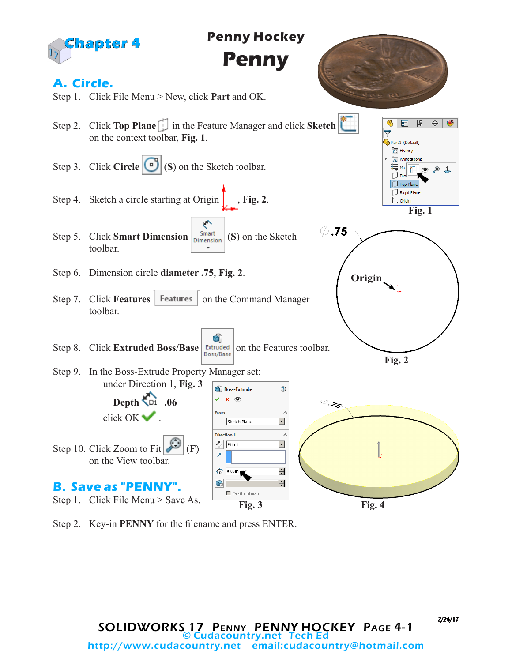



2/24/17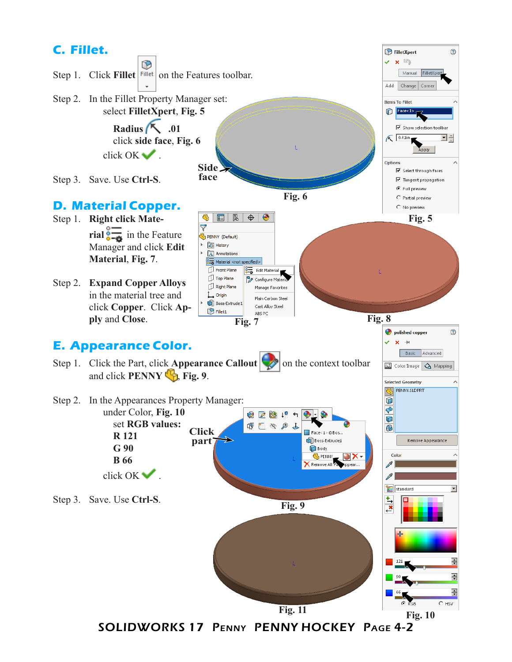